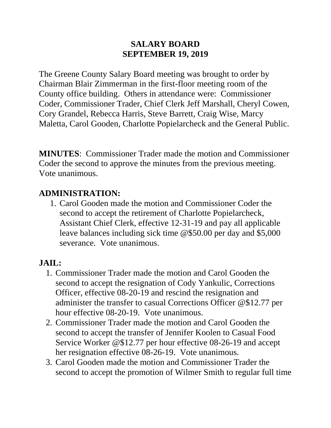#### **SALARY BOARD SEPTEMBER 19, 2019**

The Greene County Salary Board meeting was brought to order by Chairman Blair Zimmerman in the first-floor meeting room of the County office building. Others in attendance were: Commissioner Coder, Commissioner Trader, Chief Clerk Jeff Marshall, Cheryl Cowen, Cory Grandel, Rebecca Harris, Steve Barrett, Craig Wise, Marcy Maletta, Carol Gooden, Charlotte Popielarcheck and the General Public.

**MINUTES**: Commissioner Trader made the motion and Commissioner Coder the second to approve the minutes from the previous meeting. Vote unanimous.

#### **ADMINISTRATION:**

1. Carol Gooden made the motion and Commissioner Coder the second to accept the retirement of Charlotte Popielarcheck, Assistant Chief Clerk, effective 12-31-19 and pay all applicable leave balances including sick time @\$50.00 per day and \$5,000 severance. Vote unanimous.

### **JAIL:**

- 1. Commissioner Trader made the motion and Carol Gooden the second to accept the resignation of Cody Yankulic, Corrections Officer, effective 08-20-19 and rescind the resignation and administer the transfer to casual Corrections Officer @\$12.77 per hour effective 08-20-19. Vote unanimous.
- 2. Commissioner Trader made the motion and Carol Gooden the second to accept the transfer of Jennifer Koolen to Casual Food Service Worker @\$12.77 per hour effective 08-26-19 and accept her resignation effective 08-26-19. Vote unanimous.
- 3. Carol Gooden made the motion and Commissioner Trader the second to accept the promotion of Wilmer Smith to regular full time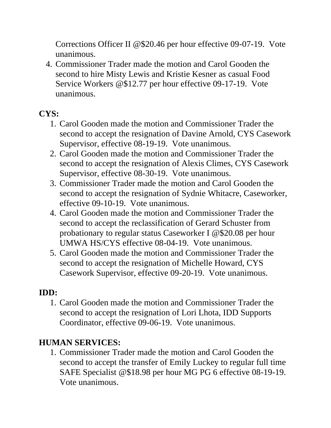Corrections Officer II @\$20.46 per hour effective 09-07-19. Vote unanimous.

4. Commissioner Trader made the motion and Carol Gooden the second to hire Misty Lewis and Kristie Kesner as casual Food Service Workers @\$12.77 per hour effective 09-17-19. Vote unanimous.

# **CYS:**

- 1. Carol Gooden made the motion and Commissioner Trader the second to accept the resignation of Davine Arnold, CYS Casework Supervisor, effective 08-19-19. Vote unanimous.
- 2. Carol Gooden made the motion and Commissioner Trader the second to accept the resignation of Alexis Climes, CYS Casework Supervisor, effective 08-30-19. Vote unanimous.
- 3. Commissioner Trader made the motion and Carol Gooden the second to accept the resignation of Sydnie Whitacre, Caseworker, effective 09-10-19. Vote unanimous.
- 4. Carol Gooden made the motion and Commissioner Trader the second to accept the reclassification of Gerard Schuster from probationary to regular status Caseworker I @\$20.08 per hour UMWA HS/CYS effective 08-04-19. Vote unanimous.
- 5. Carol Gooden made the motion and Commissioner Trader the second to accept the resignation of Michelle Howard, CYS Casework Supervisor, effective 09-20-19. Vote unanimous.

# **IDD:**

1. Carol Gooden made the motion and Commissioner Trader the second to accept the resignation of Lori Lhota, IDD Supports Coordinator, effective 09-06-19. Vote unanimous.

# **HUMAN SERVICES:**

1. Commissioner Trader made the motion and Carol Gooden the second to accept the transfer of Emily Luckey to regular full time SAFE Specialist @\$18.98 per hour MG PG 6 effective 08-19-19. Vote unanimous.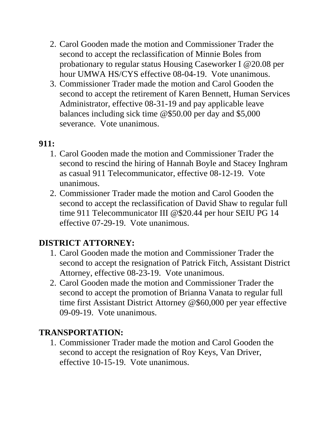- 2. Carol Gooden made the motion and Commissioner Trader the second to accept the reclassification of Minnie Boles from probationary to regular status Housing Caseworker I @20.08 per hour UMWA HS/CYS effective 08-04-19. Vote unanimous.
- 3. Commissioner Trader made the motion and Carol Gooden the second to accept the retirement of Karen Bennett, Human Services Administrator, effective 08-31-19 and pay applicable leave balances including sick time @\$50.00 per day and \$5,000 severance. Vote unanimous.

#### **911:**

- 1. Carol Gooden made the motion and Commissioner Trader the second to rescind the hiring of Hannah Boyle and Stacey Inghram as casual 911 Telecommunicator, effective 08-12-19. Vote unanimous.
- 2. Commissioner Trader made the motion and Carol Gooden the second to accept the reclassification of David Shaw to regular full time 911 Telecommunicator III @\$20.44 per hour SEIU PG 14 effective 07-29-19. Vote unanimous.

# **DISTRICT ATTORNEY:**

- 1. Carol Gooden made the motion and Commissioner Trader the second to accept the resignation of Patrick Fitch, Assistant District Attorney, effective 08-23-19. Vote unanimous.
- 2. Carol Gooden made the motion and Commissioner Trader the second to accept the promotion of Brianna Vanata to regular full time first Assistant District Attorney @\$60,000 per year effective 09-09-19. Vote unanimous.

### **TRANSPORTATION:**

1. Commissioner Trader made the motion and Carol Gooden the second to accept the resignation of Roy Keys, Van Driver, effective 10-15-19. Vote unanimous.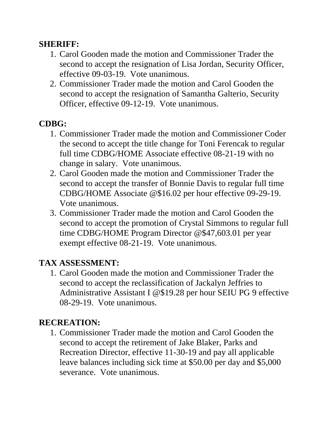#### **SHERIFF:**

- 1. Carol Gooden made the motion and Commissioner Trader the second to accept the resignation of Lisa Jordan, Security Officer, effective 09-03-19. Vote unanimous.
- 2. Commissioner Trader made the motion and Carol Gooden the second to accept the resignation of Samantha Galterio, Security Officer, effective 09-12-19. Vote unanimous.

### **CDBG:**

- 1. Commissioner Trader made the motion and Commissioner Coder the second to accept the title change for Toni Ferencak to regular full time CDBG/HOME Associate effective 08-21-19 with no change in salary. Vote unanimous.
- 2. Carol Gooden made the motion and Commissioner Trader the second to accept the transfer of Bonnie Davis to regular full time CDBG/HOME Associate @\$16.02 per hour effective 09-29-19. Vote unanimous.
- 3. Commissioner Trader made the motion and Carol Gooden the second to accept the promotion of Crystal Simmons to regular full time CDBG/HOME Program Director @\$47,603.01 per year exempt effective 08-21-19. Vote unanimous.

### **TAX ASSESSMENT:**

1. Carol Gooden made the motion and Commissioner Trader the second to accept the reclassification of Jackalyn Jeffries to Administrative Assistant I @\$19.28 per hour SEIU PG 9 effective 08-29-19. Vote unanimous.

### **RECREATION:**

1. Commissioner Trader made the motion and Carol Gooden the second to accept the retirement of Jake Blaker, Parks and Recreation Director, effective 11-30-19 and pay all applicable leave balances including sick time at \$50.00 per day and \$5,000 severance. Vote unanimous.